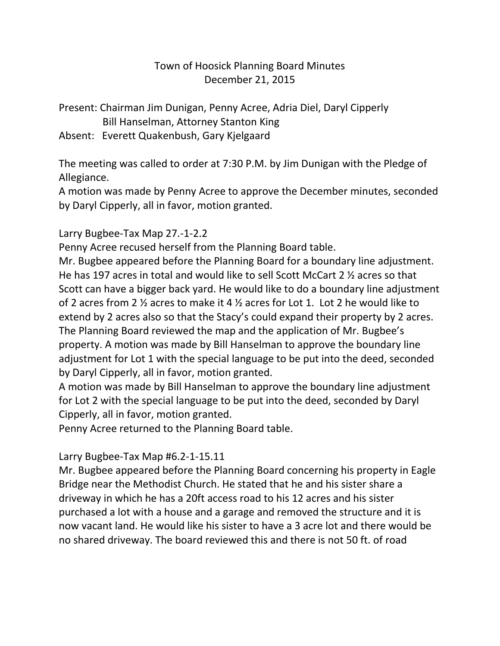# Town of Hoosick Planning Board Minutes December 21, 2015

Present: Chairman Jim Dunigan, Penny Acree, Adria Diel, Daryl Cipperly Bill Hanselman, Attorney Stanton King

Absent: Everett Quakenbush, Gary Kjelgaard

The meeting was called to order at 7:30 P.M. by Jim Dunigan with the Pledge of Allegiance.

A motion was made by Penny Acree to approve the December minutes, seconded by Daryl Cipperly, all in favor, motion granted.

Larry Bugbee-Tax Map 27.-1-2.2

Penny Acree recused herself from the Planning Board table.

Mr. Bugbee appeared before the Planning Board for a boundary line adjustment. He has 197 acres in total and would like to sell Scott McCart 2 ½ acres so that Scott can have a bigger back yard. He would like to do a boundary line adjustment of 2 acres from 2 ½ acres to make it 4 ½ acres for Lot 1. Lot 2 he would like to extend by 2 acres also so that the Stacy's could expand their property by 2 acres. The Planning Board reviewed the map and the application of Mr. Bugbee's property. A motion was made by Bill Hanselman to approve the boundary line adjustment for Lot 1 with the special language to be put into the deed, seconded by Daryl Cipperly, all in favor, motion granted.

A motion was made by Bill Hanselman to approve the boundary line adjustment for Lot 2 with the special language to be put into the deed, seconded by Daryl Cipperly, all in favor, motion granted.

Penny Acree returned to the Planning Board table.

# Larry Bugbee-Tax Map #6.2-1-15.11

Mr. Bugbee appeared before the Planning Board concerning his property in Eagle Bridge near the Methodist Church. He stated that he and his sister share a driveway in which he has a 20ft access road to his 12 acres and his sister purchased a lot with a house and a garage and removed the structure and it is now vacant land. He would like his sister to have a 3 acre lot and there would be no shared driveway. The board reviewed this and there is not 50 ft. of road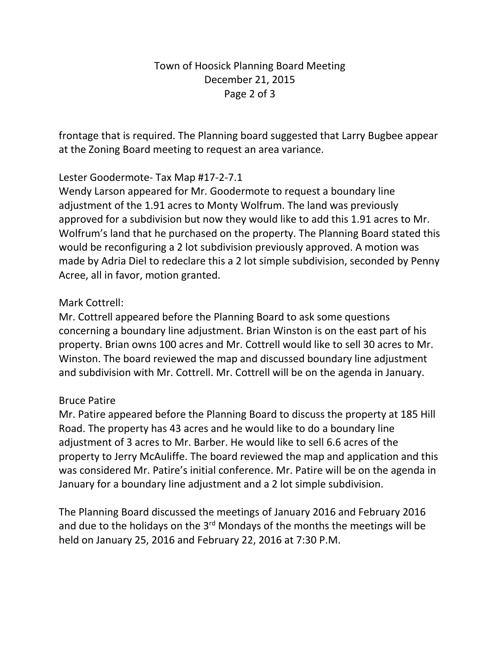# Town of Hoosick Planning Board Meeting December 21, 2015 Page 2 of 3

frontage that is required. The Planning board suggested that Larry Bugbee appear at the Zoning Board meeting to request an area variance.

## Lester Goodermote- Tax Map #17-2-7.1

Wendy Larson appeared for Mr. Goodermote to request a boundary line adjustment of the 1.91 acres to Monty Wolfrum. The land was previously approved for a subdivision but now they would like to add this 1.91 acres to Mr. Wolfrum's land that he purchased on the property. The Planning Board stated this would be reconfiguring a 2 lot subdivision previously approved. A motion was made by Adria Diel to redeclare this a 2 lot simple subdivision, seconded by Penny Acree, all in favor, motion granted.

### Mark Cottrell:

Mr. Cottrell appeared before the Planning Board to ask some questions concerning a boundary line adjustment. Brian Winston is on the east part of his property. Brian owns 100 acres and Mr. Cottrell would like to sell 30 acres to Mr. Winston. The board reviewed the map and discussed boundary line adjustment and subdivision with Mr. Cottrell. Mr. Cottrell will be on the agenda in January.

### Bruce Patire

Mr. Patire appeared before the Planning Board to discuss the property at 185 Hill Road. The property has 43 acres and he would like to do a boundary line adjustment of 3 acres to Mr. Barber. He would like to sell 6.6 acres of the property to Jerry McAuliffe. The board reviewed the map and application and this was considered Mr. Patire's initial conference. Mr. Patire will be on the agenda in January for a boundary line adjustment and a 2 lot simple subdivision.

The Planning Board discussed the meetings of January 2016 and February 2016 and due to the holidays on the  $3<sup>rd</sup>$  Mondays of the months the meetings will be held on January 25, 2016 and February 22, 2016 at 7:30 P.M.